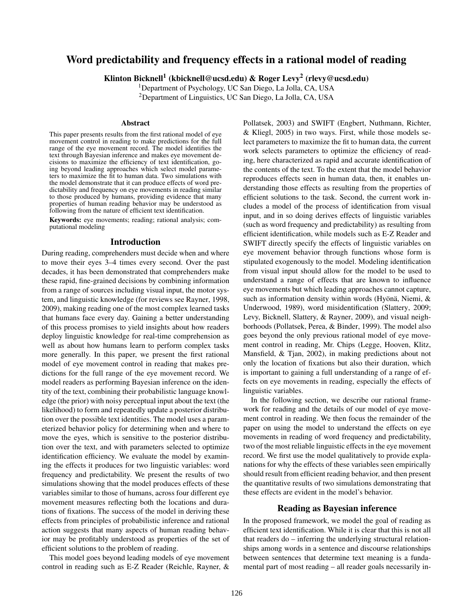# Word predictability and frequency effects in a rational model of reading

Klinton Bicknell $^1$  (kbicknell@ucsd.edu) & Roger Levy $^2$  (rlevy@ucsd.edu)

<sup>1</sup>Department of Psychology, UC San Diego, La Jolla, CA, USA

<sup>2</sup>Department of Linguistics, UC San Diego, La Jolla, CA, USA

#### Abstract

This paper presents results from the first rational model of eye movement control in reading to make predictions for the full range of the eye movement record. The model identifies the text through Bayesian inference and makes eye movement decisions to maximize the efficiency of text identification, going beyond leading approaches which select model parameters to maximize the fit to human data. Two simulations with the model demonstrate that it can produce effects of word predictability and frequency on eye movements in reading similar to those produced by humans, providing evidence that many properties of human reading behavior may be understood as following from the nature of efficient text identification.

Keywords: eye movements; reading; rational analysis; computational modeling

### Introduction

During reading, comprehenders must decide when and where to move their eyes 3–4 times every second. Over the past decades, it has been demonstrated that comprehenders make these rapid, fine-grained decisions by combining information from a range of sources including visual input, the motor system, and linguistic knowledge (for reviews see Rayner, 1998, 2009), making reading one of the most complex learned tasks that humans face every day. Gaining a better understanding of this process promises to yield insights about how readers deploy linguistic knowledge for real-time comprehension as well as about how humans learn to perform complex tasks more generally. In this paper, we present the first rational model of eye movement control in reading that makes predictions for the full range of the eye movement record. We model readers as performing Bayesian inference on the identity of the text, combining their probabilistic language knowledge (the prior) with noisy perceptual input about the text (the likelihood) to form and repeatedly update a posterior distribution over the possible text identities. The model uses a parameterized behavior policy for determining when and where to move the eyes, which is sensitive to the posterior distribution over the text, and with parameters selected to optimize identification efficiency. We evaluate the model by examining the effects it produces for two linguistic variables: word frequency and predictability. We present the results of two simulations showing that the model produces effects of these variables similar to those of humans, across four different eye movement measures reflecting both the locations and durations of fixations. The success of the model in deriving these effects from principles of probabilistic inference and rational action suggests that many aspects of human reading behavior may be profitably understood as properties of the set of efficient solutions to the problem of reading.

This model goes beyond leading models of eye movement control in reading such as E-Z Reader (Reichle, Rayner, & Pollatsek, 2003) and SWIFT (Engbert, Nuthmann, Richter, & Kliegl, 2005) in two ways. First, while those models select parameters to maximize the fit to human data, the current work selects parameters to optimize the efficiency of reading, here characterized as rapid and accurate identification of the contents of the text. To the extent that the model behavior reproduces effects seen in human data, then, it enables understanding those effects as resulting from the properties of efficient solutions to the task. Second, the current work includes a model of the process of identification from visual input, and in so doing derives effects of linguistic variables (such as word frequency and predictability) as resulting from efficient identification, while models such as E-Z Reader and SWIFT directly specify the effects of linguistic variables on eye movement behavior through functions whose form is stipulated exogenously to the model. Modeling identification from visual input should allow for the model to be used to understand a range of effects that are known to influence eye movements but which leading approaches cannot capture, such as information density within words (Hyönä, Niemi, & Underwood, 1989), word misidentification (Slattery, 2009; Levy, Bicknell, Slattery, & Rayner, 2009), and visual neighborhoods (Pollatsek, Perea, & Binder, 1999). The model also goes beyond the only previous rational model of eye movement control in reading, Mr. Chips (Legge, Hooven, Klitz, Mansfield, & Tjan, 2002), in making predictions about not only the location of fixations but also their duration, which is important to gaining a full understanding of a range of effects on eye movements in reading, especially the effects of linguistic variables.

In the following section, we describe our rational framework for reading and the details of our model of eye movement control in reading. We then focus the remainder of the paper on using the model to understand the effects on eye movements in reading of word frequency and predictability, two of the most reliable linguistic effects in the eye movement record. We first use the model qualitatively to provide explanations for why the effects of these variables seen empirically should result from efficient reading behavior, and then present the quantitative results of two simulations demonstrating that these effects are evident in the model's behavior.

### Reading as Bayesian inference

In the proposed framework, we model the goal of reading as efficient text identification. While it is clear that this is not all that readers do – inferring the underlying structural relationships among words in a sentence and discourse relationships between sentences that determine text meaning is a fundamental part of most reading – all reader goals necessarily in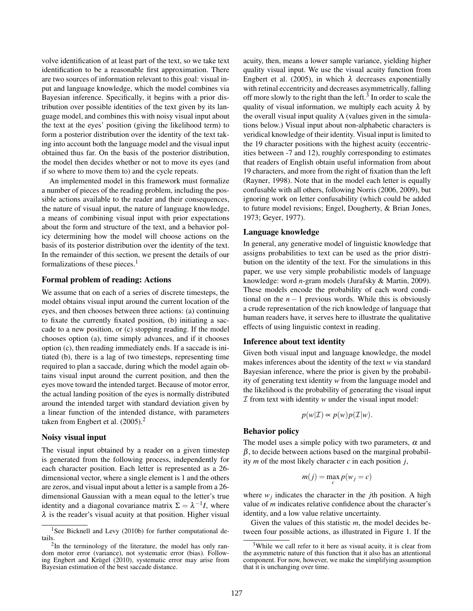volve identification of at least part of the text, so we take text identification to be a reasonable first approximation. There are two sources of information relevant to this goal: visual input and language knowledge, which the model combines via Bayesian inference. Specifically, it begins with a prior distribution over possible identities of the text given by its language model, and combines this with noisy visual input about the text at the eyes' position (giving the likelihood term) to form a posterior distribution over the identity of the text taking into account both the language model and the visual input obtained thus far. On the basis of the posterior distribution, the model then decides whether or not to move its eyes (and if so where to move them to) and the cycle repeats.

An implemented model in this framework must formalize a number of pieces of the reading problem, including the possible actions available to the reader and their consequences, the nature of visual input, the nature of language knowledge, a means of combining visual input with prior expectations about the form and structure of the text, and a behavior policy determining how the model will choose actions on the basis of its posterior distribution over the identity of the text. In the remainder of this section, we present the details of our formalizations of these pieces.<sup>1</sup>

# Formal problem of reading: Actions

We assume that on each of a series of discrete timesteps, the model obtains visual input around the current location of the eyes, and then chooses between three actions: (a) continuing to fixate the currently fixated position, (b) initiating a saccade to a new position, or (c) stopping reading. If the model chooses option (a), time simply advances, and if it chooses option (c), then reading immediately ends. If a saccade is initiated (b), there is a lag of two timesteps, representing time required to plan a saccade, during which the model again obtains visual input around the current position, and then the eyes move toward the intended target. Because of motor error, the actual landing position of the eyes is normally distributed around the intended target with standard deviation given by a linear function of the intended distance, with parameters taken from Engbert et al. (2005).<sup>2</sup>

### Noisy visual input

The visual input obtained by a reader on a given timestep is generated from the following process, independently for each character position. Each letter is represented as a 26 dimensional vector, where a single element is 1 and the others are zeros, and visual input about a letter is a sample from a 26 dimensional Gaussian with a mean equal to the letter's true identity and a diagonal covariance matrix  $\Sigma = \lambda^{-1}I$ , where  $\lambda$  is the reader's visual acuity at that position. Higher visual acuity, then, means a lower sample variance, yielding higher quality visual input. We use the visual acuity function from Engbert et al. (2005), in which  $\lambda$  decreases exponentially with retinal eccentricity and decreases asymmetrically, falling off more slowly to the right than the left. $3$  In order to scale the quality of visual information, we multiply each acuity  $\lambda$  by the overall visual input quality  $\Lambda$  (values given in the simulations below.) Visual input about non-alphabetic characters is veridical knowledge of their identity. Visual input is limited to the 19 character positions with the highest acuity (eccentricities between -7 and 12), roughly corresponding to estimates that readers of English obtain useful information from about 19 characters, and more from the right of fixation than the left (Rayner, 1998). Note that in the model each letter is equally confusable with all others, following Norris (2006, 2009), but ignoring work on letter confusability (which could be added to future model revisions; Engel, Dougherty, & Brian Jones, 1973; Geyer, 1977).

### Language knowledge

In general, any generative model of linguistic knowledge that assigns probabilities to text can be used as the prior distribution on the identity of the text. For the simulations in this paper, we use very simple probabilistic models of language knowledge: word *n*-gram models (Jurafsky & Martin, 2009). These models encode the probability of each word conditional on the  $n-1$  previous words. While this is obviously a crude representation of the rich knowledge of language that human readers have, it serves here to illustrate the qualitative effects of using linguistic context in reading.

#### Inference about text identity

Given both visual input and language knowledge, the model makes inferences about the identity of the text *w* via standard Bayesian inference, where the prior is given by the probability of generating text identity *w* from the language model and the likelihood is the probability of generating the visual input  $I$  from text with identity  $w$  under the visual input model:

$$
p(w|\mathcal{I}) \propto p(w)p(\mathcal{I}|w).
$$

# Behavior policy

The model uses a simple policy with two parameters,  $\alpha$  and  $\beta$ , to decide between actions based on the marginal probability *m* of the most likely character *c* in each position *j*,

$$
m(j) = \max_{c} p(w_j = c)
$$

where  $w_j$  indicates the character in the *j*th position. A high value of *m* indicates relative confidence about the character's identity, and a low value relative uncertainty.

Given the values of this statistic *m*, the model decides between four possible actions, as illustrated in Figure 1. If the

<sup>&</sup>lt;sup>1</sup>See Bicknell and Levy (2010b) for further computational details.

<sup>&</sup>lt;sup>2</sup>In the terminology of the literature, the model has only random motor error (variance), not systematic error (bias). Following Engbert and Krügel (2010), systematic error may arise from Bayesian estimation of the best saccade distance.

<sup>&</sup>lt;sup>3</sup>While we call refer to it here as visual acuity, it is clear from the asymmetric nature of this function that it also has an attentional component. For now, however, we make the simplifying assumption that it is unchanging over time.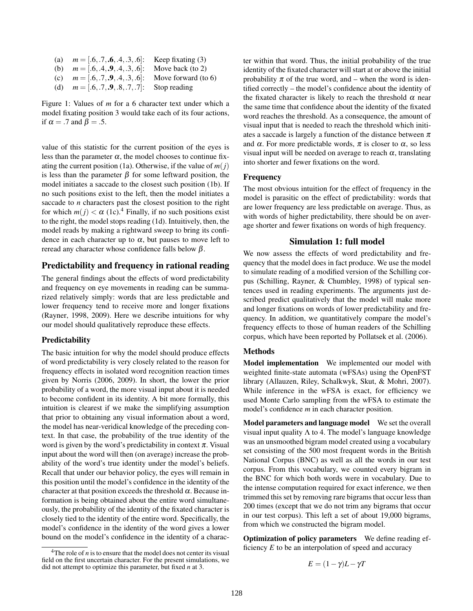|     | (a) $m = [.6, .7, .6, .4, .3, .6]$ : | Keep fixating $(3)$    |
|-----|--------------------------------------|------------------------|
|     | (b) $m = [.6, .4, .9, .4, .3, .6]$ : | Move back (to $2$ )    |
| (c) | $m = [.6, .7, .9, .4, .3, .6]$ :     | Move forward (to $6$ ) |
| (d) | $m = [.6, .7, .9, .8, .7, .7]$ :     | Stop reading           |

Figure 1: Values of *m* for a 6 character text under which a model fixating position 3 would take each of its four actions, if  $\alpha = .7$  and  $\beta = .5$ .

value of this statistic for the current position of the eyes is less than the parameter  $\alpha$ , the model chooses to continue fixating the current position (1a). Otherwise, if the value of  $m(j)$ is less than the parameter  $\beta$  for some leftward position, the model initiates a saccade to the closest such position (1b). If no such positions exist to the left, then the model initiates a saccade to *n* characters past the closest position to the right for which  $m(j) < \alpha$  (1c).<sup>4</sup> Finally, if no such positions exist to the right, the model stops reading (1d). Intuitively, then, the model reads by making a rightward sweep to bring its confidence in each character up to  $\alpha$ , but pauses to move left to reread any character whose confidence falls below β.

# Predictability and frequency in rational reading

The general findings about the effects of word predictability and frequency on eye movements in reading can be summarized relatively simply: words that are less predictable and lower frequency tend to receive more and longer fixations (Rayner, 1998, 2009). Here we describe intuitions for why our model should qualitatively reproduce these effects.

# Predictability

The basic intuition for why the model should produce effects of word predictability is very closely related to the reason for frequency effects in isolated word recognition reaction times given by Norris (2006, 2009). In short, the lower the prior probability of a word, the more visual input about it is needed to become confident in its identity. A bit more formally, this intuition is clearest if we make the simplifying assumption that prior to obtaining any visual information about a word, the model has near-veridical knowledge of the preceding context. In that case, the probability of the true identity of the word is given by the word's predictability in context  $\pi$ . Visual input about the word will then (on average) increase the probability of the word's true identity under the model's beliefs. Recall that under our behavior policy, the eyes will remain in this position until the model's confidence in the identity of the character at that position exceeds the threshold  $\alpha$ . Because information is being obtained about the entire word simultaneously, the probability of the identity of the fixated character is closely tied to the identity of the entire word. Specifically, the model's confidence in the identity of the word gives a lower bound on the model's confidence in the identity of a character within that word. Thus, the initial probability of the true identity of the fixated character will start at or above the initial probability  $\pi$  of the true word, and – when the word is identified correctly – the model's confidence about the identity of the fixated character is likely to reach the threshold  $\alpha$  near the same time that confidence about the identity of the fixated word reaches the threshold. As a consequence, the amount of visual input that is needed to reach the threshold which initiates a saccade is largely a function of the distance between  $\pi$ and  $\alpha$ . For more predictable words,  $\pi$  is closer to  $\alpha$ , so less visual input will be needed on average to reach  $\alpha$ , translating into shorter and fewer fixations on the word.

# Frequency

The most obvious intuition for the effect of frequency in the model is parasitic on the effect of predictability: words that are lower frequency are less predictable on average. Thus, as with words of higher predictability, there should be on average shorter and fewer fixations on words of high frequency.

# Simulation 1: full model

We now assess the effects of word predictability and frequency that the model does in fact produce. We use the model to simulate reading of a modified version of the Schilling corpus (Schilling, Rayner, & Chumbley, 1998) of typical sentences used in reading experiments. The arguments just described predict qualitatively that the model will make more and longer fixations on words of lower predictability and frequency. In addition, we quantitatively compare the model's frequency effects to those of human readers of the Schilling corpus, which have been reported by Pollatsek et al. (2006).

### Methods

Model implementation We implemented our model with weighted finite-state automata (wFSAs) using the OpenFST library (Allauzen, Riley, Schalkwyk, Skut, & Mohri, 2007). While inference in the wFSA is exact, for efficiency we used Monte Carlo sampling from the wFSA to estimate the model's confidence *m* in each character position.

Model parameters and language model We set the overall visual input quality  $\Lambda$  to 4. The model's language knowledge was an unsmoothed bigram model created using a vocabulary set consisting of the 500 most frequent words in the British National Corpus (BNC) as well as all the words in our test corpus. From this vocabulary, we counted every bigram in the BNC for which both words were in vocabulary. Due to the intense computation required for exact inference, we then trimmed this set by removing rare bigrams that occur less than 200 times (except that we do not trim any bigrams that occur in our test corpus). This left a set of about 19,000 bigrams, from which we constructed the bigram model.

Optimization of policy parameters We define reading efficiency *E* to be an interpolation of speed and accuracy

$$
E = (1 - \gamma)L - \gamma T
$$

 $4$ The role of *n* is to ensure that the model does not center its visual field on the first uncertain character. For the present simulations, we did not attempt to optimize this parameter, but fixed *n* at 3.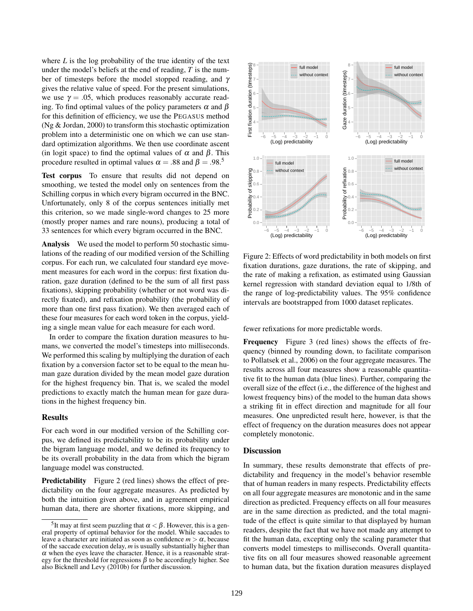where *L* is the log probability of the true identity of the text under the model's beliefs at the end of reading, *T* is the number of timesteps before the model stopped reading, and γ gives the relative value of speed. For the present simulations, we use  $\gamma = .05$ , which produces reasonably accurate reading. To find optimal values of the policy parameters  $\alpha$  and  $\beta$ for this definition of efficiency, we use the PEGASUS method (Ng & Jordan, 2000) to transform this stochastic optimization problem into a deterministic one on which we can use standard optimization algorithms. We then use coordinate ascent (in logit space) to find the optimal values of  $\alpha$  and  $\beta$ . This procedure resulted in optimal values  $\alpha = .88$  and  $\beta = .98$ .<sup>5</sup>

Test corpus To ensure that results did not depend on smoothing, we tested the model only on sentences from the Schilling corpus in which every bigram occurred in the BNC. Unfortunately, only 8 of the corpus sentences initially met this criterion, so we made single-word changes to 25 more (mostly proper names and rare nouns), producing a total of 33 sentences for which every bigram occurred in the BNC.

Analysis We used the model to perform 50 stochastic simulations of the reading of our modified version of the Schilling corpus. For each run, we calculated four standard eye movement measures for each word in the corpus: first fixation duration, gaze duration (defined to be the sum of all first pass fixations), skipping probability (whether or not word was directly fixated), and refixation probability (the probability of more than one first pass fixation). We then averaged each of these four measures for each word token in the corpus, yielding a single mean value for each measure for each word.

In order to compare the fixation duration measures to humans, we converted the model's timesteps into milliseconds. We performed this scaling by multiplying the duration of each fixation by a conversion factor set to be equal to the mean human gaze duration divided by the mean model gaze duration for the highest frequency bin. That is, we scaled the model predictions to exactly match the human mean for gaze durations in the highest frequency bin.

#### **Results**

For each word in our modified version of the Schilling corpus, we defined its predictability to be its probability under the bigram language model, and we defined its frequency to be its overall probability in the data from which the bigram language model was constructed.

**Predictability** Figure 2 (red lines) shows the effect of predictability on the four aggregate measures. As predicted by both the intuition given above, and in agreement empirical human data, there are shorter fixations, more skipping, and



Figure 2: Effects of word predictability in both models on first fixation durations, gaze durations, the rate of skipping, and the rate of making a refixation, as estimated using Gaussian kernel regression with standard deviation equal to 1/8th of the range of log-predictability values. The 95% confidence intervals are bootstrapped from 1000 dataset replicates.

fewer refixations for more predictable words.

Frequency Figure 3 (red lines) shows the effects of frequency (binned by rounding down, to facilitate comparison to Pollatsek et al., 2006) on the four aggregate measures. The results across all four measures show a reasonable quantitative fit to the human data (blue lines). Further, comparing the overall size of the effect (i.e., the difference of the highest and lowest frequency bins) of the model to the human data shows a striking fit in effect direction and magnitude for all four measures. One unpredicted result here, however, is that the effect of frequency on the duration measures does not appear completely monotonic.

### **Discussion**

In summary, these results demonstrate that effects of predictability and frequency in the model's behavior resemble that of human readers in many respects. Predictability effects on all four aggregate measures are monotonic and in the same direction as predicted. Frequency effects on all four measures are in the same direction as predicted, and the total magnitude of the effect is quite similar to that displayed by human readers, despite the fact that we have not made any attempt to fit the human data, excepting only the scaling parameter that converts model timesteps to milliseconds. Overall quantitative fits on all four measures showed reasonable agreement to human data, but the fixation duration measures displayed

<sup>&</sup>lt;sup>5</sup>It may at first seem puzzling that  $\alpha < \beta$ . However, this is a general property of optimal behavior for the model. While saccades to leave a character are initiated as soon as confidence  $m > \alpha$ , because of the saccade execution delay, *m* is usually substantially higher than  $\alpha$  when the eyes leave the character. Hence, it is a reasonable strategy for the threshold for regressions  $\beta$  to be accordingly higher. See also Bicknell and Levy (2010b) for further discussion.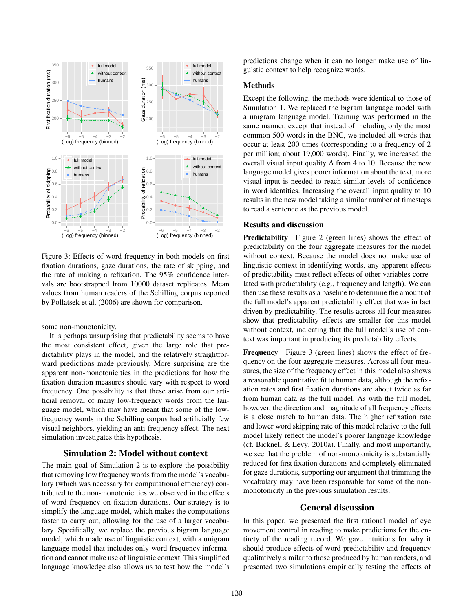

Figure 3: Effects of word frequency in both models on first fixation durations, gaze durations, the rate of skipping, and the rate of making a refixation. The 95% confidence intervals are bootstrapped from 10000 dataset replicates. Mean values from human readers of the Schilling corpus reported by Pollatsek et al. (2006) are shown for comparison.

some non-monotonicity.

It is perhaps unsurprising that predictability seems to have the most consistent effect, given the large role that predictability plays in the model, and the relatively straightforward predictions made previously. More surprising are the apparent non-monotonicities in the predictions for how the fixation duration measures should vary with respect to word frequency. One possibility is that these arise from our artificial removal of many low-frequency words from the language model, which may have meant that some of the lowfrequency words in the Schilling corpus had artificially few visual neighbors, yielding an anti-frequency effect. The next simulation investigates this hypothesis.

# Simulation 2: Model without context

The main goal of Simulation 2 is to explore the possibility that removing low frequency words from the model's vocabulary (which was necessary for computational efficiency) contributed to the non-monotonicities we observed in the effects of word frequency on fixation durations. Our strategy is to simplify the language model, which makes the computations faster to carry out, allowing for the use of a larger vocabulary. Specifically, we replace the previous bigram language model, which made use of linguistic context, with a unigram language model that includes only word frequency information and cannot make use of linguistic context. This simplified language knowledge also allows us to test how the model's predictions change when it can no longer make use of linguistic context to help recognize words.

# Methods

Except the following, the methods were identical to those of Simulation 1. We replaced the bigram language model with a unigram language model. Training was performed in the same manner, except that instead of including only the most common 500 words in the BNC, we included all words that occur at least 200 times (corresponding to a frequency of 2 per million; about 19,000 words). Finally, we increased the overall visual input quality  $\Lambda$  from 4 to 10. Because the new language model gives poorer information about the text, more visual input is needed to reach similar levels of confidence in word identities. Increasing the overall input quality to 10 results in the new model taking a similar number of timesteps to read a sentence as the previous model.

# Results and discussion

Predictability Figure 2 (green lines) shows the effect of predictability on the four aggregate measures for the model without context. Because the model does not make use of linguistic context in identifying words, any apparent effects of predictability must reflect effects of other variables correlated with predictability (e.g., frequency and length). We can then use these results as a baseline to determine the amount of the full model's apparent predictability effect that was in fact driven by predictability. The results across all four measures show that predictability effects are smaller for this model without context, indicating that the full model's use of context was important in producing its predictability effects.

Frequency Figure 3 (green lines) shows the effect of frequency on the four aggregate measures. Across all four measures, the size of the frequency effect in this model also shows a reasonable quantitative fit to human data, although the refixation rates and first fixation durations are about twice as far from human data as the full model. As with the full model, however, the direction and magnitude of all frequency effects is a close match to human data. The higher refixation rate and lower word skipping rate of this model relative to the full model likely reflect the model's poorer language knowledge (cf. Bicknell & Levy, 2010a). Finally, and most importantly, we see that the problem of non-monotonicity is substantially reduced for first fixation durations and completely eliminated for gaze durations, supporting our argument that trimming the vocabulary may have been responsible for some of the nonmonotonicity in the previous simulation results.

## General discussion

In this paper, we presented the first rational model of eye movement control in reading to make predictions for the entirety of the reading record. We gave intuitions for why it should produce effects of word predictability and frequency qualitatively similar to those produced by human readers, and presented two simulations empirically testing the effects of